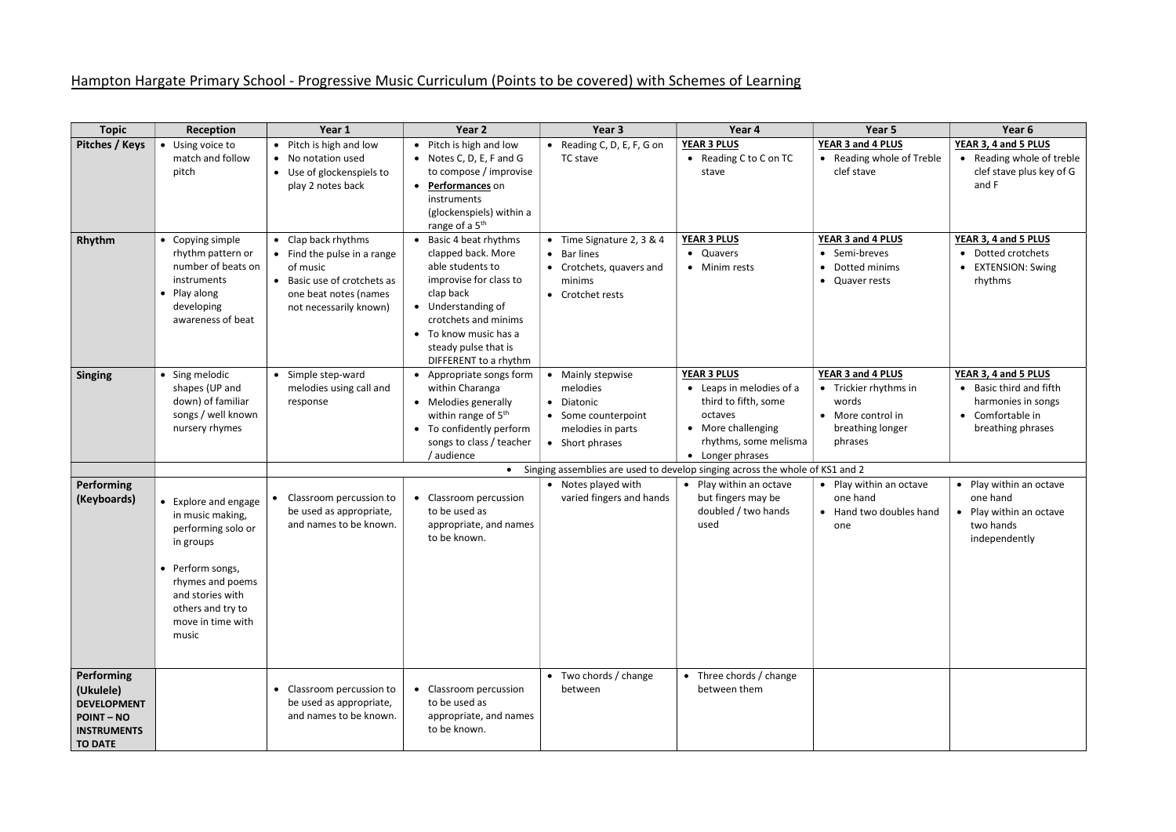## Hampton Hargate Primary School - Progressive Music Curriculum (Points to be covered) with Schemes of Learning

| <b>Topic</b>                                                                                             | Reception                                                                                                                                                                                  | Year 1                                                                                                                                         | Year 2                                                                                                                                                                                                                          | Year 3                                                                                                                | Year 4                                                                                                                                               | Year 5                                                                                                  | Year 6                                                                                                                               |
|----------------------------------------------------------------------------------------------------------|--------------------------------------------------------------------------------------------------------------------------------------------------------------------------------------------|------------------------------------------------------------------------------------------------------------------------------------------------|---------------------------------------------------------------------------------------------------------------------------------------------------------------------------------------------------------------------------------|-----------------------------------------------------------------------------------------------------------------------|------------------------------------------------------------------------------------------------------------------------------------------------------|---------------------------------------------------------------------------------------------------------|--------------------------------------------------------------------------------------------------------------------------------------|
| Pitches / Keys                                                                                           | • Using voice to<br>match and follow<br>pitch                                                                                                                                              | Pitch is high and low<br>• No notation used<br>• Use of glockenspiels to<br>play 2 notes back                                                  | • Pitch is high and low<br>• Notes C, D, E, F and G<br>to compose / improvise<br>• Performances on<br>instruments<br>(glockenspiels) within a<br>range of a 5 <sup>th</sup>                                                     | • Reading C, D, E, F, G on<br>TC stave                                                                                | <b>YEAR 3 PLUS</b><br>• Reading C to C on TC<br>stave                                                                                                | YEAR 3 and 4 PLUS<br>• Reading whole of Treble<br>clef stave                                            | YEAR 3, 4 and 5 PLUS<br>Reading whole of treble<br>clef stave plus key of G<br>and F                                                 |
| Rhythm                                                                                                   | • Copying simple<br>rhythm pattern or<br>number of beats on<br>instruments<br>• Play along<br>developing<br>awareness of beat                                                              | • Clap back rhythms<br>• Find the pulse in a range<br>of music<br>Basic use of crotchets as<br>one beat notes (names<br>not necessarily known) | • Basic 4 beat rhythms<br>clapped back. More<br>able students to<br>improvise for class to<br>clap back<br>• Understanding of<br>crotchets and minims<br>• To know music has a<br>steady pulse that is<br>DIFFERENT to a rhythm | • Time Signature 2, 3 & 4<br><b>Bar lines</b><br>$\bullet$<br>• Crotchets, quavers and<br>minims<br>• Crotchet rests  | <b>YEAR 3 PLUS</b><br>• Quavers<br>• Minim rests                                                                                                     | YEAR 3 and 4 PLUS<br>Semi-breves<br>$\bullet$<br>Dotted minims<br>• Quaver rests                        | YEAR 3, 4 and 5 PLUS<br>Dotted crotchets<br>$\bullet$<br><b>EXTENSION: Swing</b><br>rhythms                                          |
| <b>Singing</b>                                                                                           | • Sing melodic<br>shapes (UP and<br>down) of familiar<br>songs / well known<br>nursery rhymes                                                                                              | • Simple step-ward<br>melodies using call and<br>response                                                                                      | • Appropriate songs form<br>within Charanga<br>• Melodies generally<br>within range of 5 <sup>th</sup><br>• To confidently perform<br>songs to class / teacher<br>audience                                                      | • Mainly stepwise<br>melodies<br>Diatonic<br>$\bullet$<br>• Some counterpoint<br>melodies in parts<br>• Short phrases | <b>YEAR 3 PLUS</b><br>• Leaps in melodies of a<br>third to fifth, some<br>octaves<br>• More challenging<br>rhythms, some melisma<br>• Longer phrases | YEAR 3 and 4 PLUS<br>• Trickier rhythms in<br>words<br>• More control in<br>breathing longer<br>phrases | YEAR 3, 4 and 5 PLUS<br>Basic third and fifth<br>$\bullet$<br>harmonies in songs<br>Comfortable in<br>$\bullet$<br>breathing phrases |
|                                                                                                          |                                                                                                                                                                                            |                                                                                                                                                |                                                                                                                                                                                                                                 |                                                                                                                       | • Singing assemblies are used to develop singing across the whole of KS1 and 2                                                                       |                                                                                                         |                                                                                                                                      |
| Performing<br>(Keyboards)                                                                                | • Explore and engage<br>in music making,<br>performing solo or<br>in groups<br>• Perform songs,<br>rhymes and poems<br>and stories with<br>others and try to<br>move in time with<br>music | Classroom percussion to<br>be used as appropriate,<br>and names to be known.                                                                   | Classroom percussion<br>to be used as<br>appropriate, and names<br>to be known.                                                                                                                                                 | • Notes played with<br>varied fingers and hands                                                                       | • Play within an octave<br>but fingers may be<br>doubled / two hands<br>used                                                                         | • Play within an octave<br>one hand<br>• Hand two doubles hand<br>one                                   | • Play within an octave<br>one hand<br>• Play within an octave<br>two hands<br>independently                                         |
| Performing<br>(Ukulele)<br><b>DEVELOPMENT</b><br><b>POINT-NO</b><br><b>INSTRUMENTS</b><br><b>TO DATE</b> |                                                                                                                                                                                            | • Classroom percussion to<br>be used as appropriate,<br>and names to be known.                                                                 | Classroom percussion<br>to be used as<br>appropriate, and names<br>to be known.                                                                                                                                                 | • Two chords / change<br>between                                                                                      | • Three chords / change<br>between them                                                                                                              |                                                                                                         |                                                                                                                                      |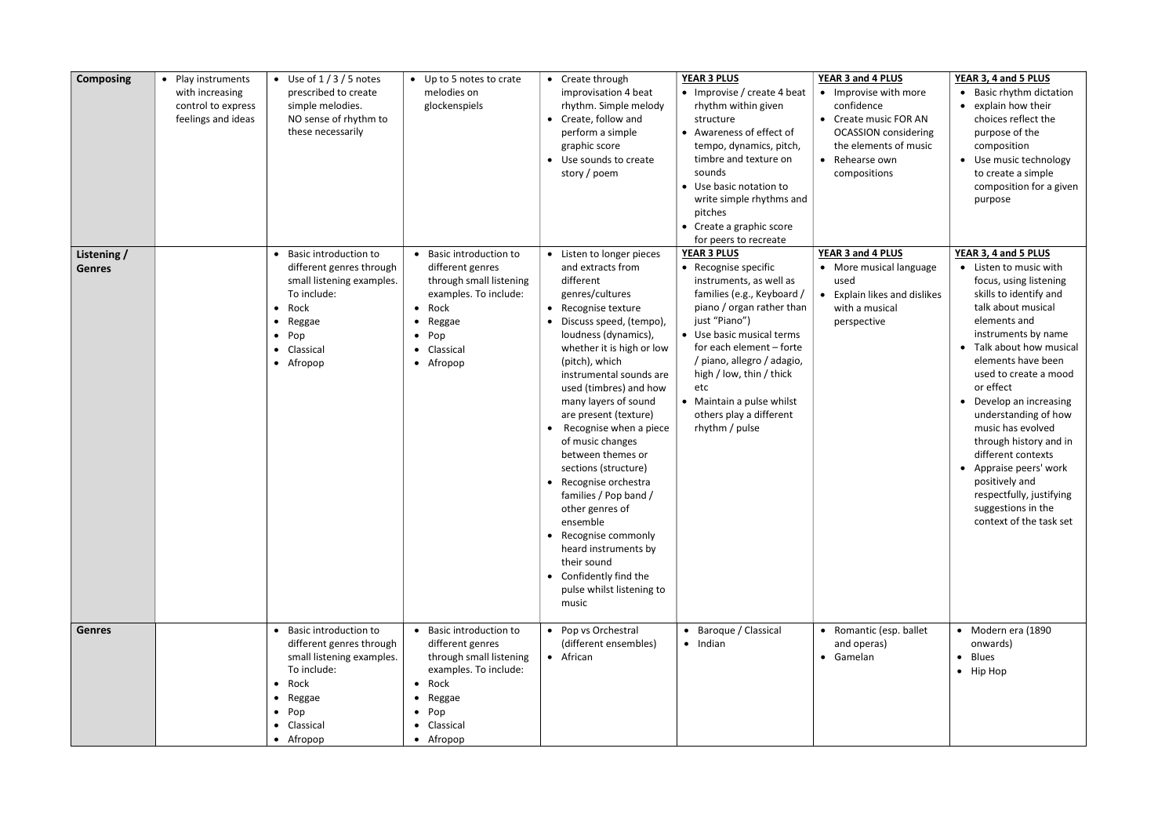| <b>Composing</b>             | • Play instruments<br>with increasing<br>control to express<br>feelings and ideas | • Use of $1/3/5$ notes<br>prescribed to create<br>simple melodies.<br>NO sense of rhythm to<br>these necessarily                                                                       | • Up to 5 notes to crate<br>melodies on<br>glockenspiels                                                                                                                                            | • Create through<br>improvisation 4 beat<br>rhythm. Simple melody<br>• Create, follow and<br>perform a simple<br>graphic score<br>• Use sounds to create<br>story / poem                                                                                                                                                                                                                                                                                                                                                                                                                                                 | <b>YEAR 3 PLUS</b><br>• Improvise / create 4 beat<br>rhythm within given<br>structure<br>• Awareness of effect of<br>tempo, dynamics, pitch,<br>timbre and texture on<br>sounds<br>• Use basic notation to<br>write simple rhythms and<br>pitches<br>• Create a graphic score<br>for peers to recreate                                                | YEAR 3 and 4 PLUS<br>• Improvise with more<br>confidence<br>• Create music FOR AN<br><b>OCASSION</b> considering<br>the elements of music<br>• Rehearse own<br>compositions | YEAR 3, 4 and 5 PLUS<br>• Basic rhythm dictation<br>• explain how their<br>choices reflect the<br>purpose of the<br>composition<br>• Use music technology<br>to create a simple<br>composition for a given<br>purpose                                                                                                                                                                                                                                                                                  |
|------------------------------|-----------------------------------------------------------------------------------|----------------------------------------------------------------------------------------------------------------------------------------------------------------------------------------|-----------------------------------------------------------------------------------------------------------------------------------------------------------------------------------------------------|--------------------------------------------------------------------------------------------------------------------------------------------------------------------------------------------------------------------------------------------------------------------------------------------------------------------------------------------------------------------------------------------------------------------------------------------------------------------------------------------------------------------------------------------------------------------------------------------------------------------------|-------------------------------------------------------------------------------------------------------------------------------------------------------------------------------------------------------------------------------------------------------------------------------------------------------------------------------------------------------|-----------------------------------------------------------------------------------------------------------------------------------------------------------------------------|--------------------------------------------------------------------------------------------------------------------------------------------------------------------------------------------------------------------------------------------------------------------------------------------------------------------------------------------------------------------------------------------------------------------------------------------------------------------------------------------------------|
| Listening /<br><b>Genres</b> |                                                                                   | Basic introduction to<br>different genres through<br>small listening examples.<br>To include:<br>$\bullet$ Rock<br>Reggae<br>$\bullet$<br>$\bullet$ Pop<br>• Classical<br>• Afropop    | • Basic introduction to<br>different genres<br>through small listening<br>examples. To include:<br>$\bullet$ Rock<br>Reggae<br>$\bullet$<br>$\bullet$ Pop<br>• Classical<br>• Afropop               | • Listen to longer pieces<br>and extracts from<br>different<br>genres/cultures<br>• Recognise texture<br>Discuss speed, (tempo),<br>loudness (dynamics),<br>whether it is high or low<br>(pitch), which<br>instrumental sounds are<br>used (timbres) and how<br>many layers of sound<br>are present (texture)<br>Recognise when a piece<br>of music changes<br>between themes or<br>sections (structure)<br>• Recognise orchestra<br>families / Pop band /<br>other genres of<br>ensemble<br>• Recognise commonly<br>heard instruments by<br>their sound<br>• Confidently find the<br>pulse whilst listening to<br>music | <b>YEAR 3 PLUS</b><br>• Recognise specific<br>instruments, as well as<br>families (e.g., Keyboard /<br>piano / organ rather than<br>just "Piano")<br>• Use basic musical terms<br>for each element - forte<br>/ piano, allegro / adagio,<br>high / low, thin / thick<br>etc<br>• Maintain a pulse whilst<br>others play a different<br>rhythm / pulse | YEAR 3 and 4 PLUS<br>• More musical language<br>used<br>Explain likes and dislikes<br>$\bullet$<br>with a musical<br>perspective                                            | YEAR 3, 4 and 5 PLUS<br>• Listen to music with<br>focus, using listening<br>skills to identify and<br>talk about musical<br>elements and<br>instruments by name<br>Talk about how musical<br>elements have been<br>used to create a mood<br>or effect<br>• Develop an increasing<br>understanding of how<br>music has evolved<br>through history and in<br>different contexts<br>• Appraise peers' work<br>positively and<br>respectfully, justifying<br>suggestions in the<br>context of the task set |
| <b>Genres</b>                |                                                                                   | Basic introduction to<br>different genres through<br>small listening examples.<br>To include:<br>Rock<br>$\bullet$<br>Reggae<br>$\bullet$<br>$\bullet$ Pop<br>• Classical<br>• Afropop | • Basic introduction to<br>different genres<br>through small listening<br>examples. To include:<br>Rock<br>$\bullet$<br>Reggae<br>$\bullet$<br>$\bullet$ Pop<br>Classical<br>$\bullet$<br>• Afropop | • Pop vs Orchestral<br>(different ensembles)<br>• African                                                                                                                                                                                                                                                                                                                                                                                                                                                                                                                                                                | • Baroque / Classical<br>$\bullet$ Indian                                                                                                                                                                                                                                                                                                             | • Romantic (esp. ballet<br>and operas)<br>• Gamelan                                                                                                                         | • Modern era (1890<br>onwards)<br><b>Blues</b><br>• Hip Hop                                                                                                                                                                                                                                                                                                                                                                                                                                            |